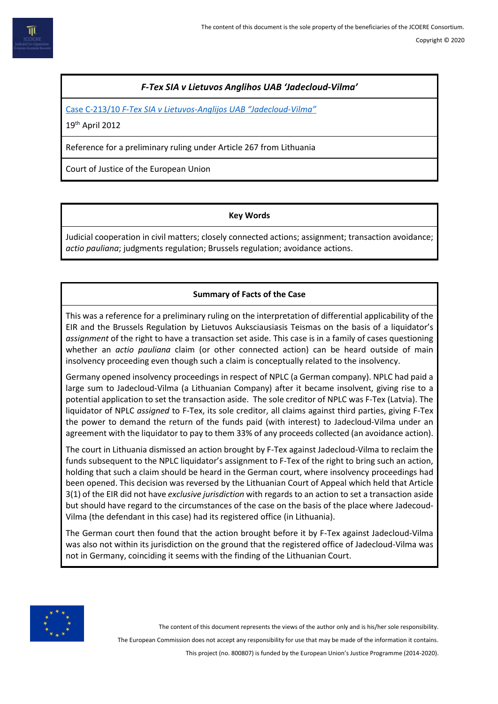# *F-Tex SIA v Lietuvos Anglihos UAB 'Jadecloud-Vilma'*

Case C-213/10 *F-Tex SIA v Lietuvos-[Anglijos UAB "Jadecloud](https://eur-lex.europa.eu/legal-content/EN/TXT/HTML/?uri=CELEX:62010CJ0213&from=EN)-Vilma"*

19th April 2012

Reference for a preliminary ruling under Article 267 from Lithuania

Court of Justice of the European Union

## **Key Words**

Judicial cooperation in civil matters; closely connected actions; assignment; transaction avoidance; *actio pauliana*; judgments regulation; Brussels regulation; avoidance actions.

# **Summary of Facts of the Case**

This was a reference for a preliminary ruling on the interpretation of differential applicability of the EIR and the Brussels Regulation by Lietuvos Auksciausiasis Teismas on the basis of a liquidator's *assignment* of the right to have a transaction set aside. This case is in a family of cases questioning whether an *actio pauliana* claim (or other connected action) can be heard outside of main insolvency proceeding even though such a claim is conceptually related to the insolvency.

Germany opened insolvency proceedings in respect of NPLC (a German company). NPLC had paid a large sum to Jadecloud-Vilma (a Lithuanian Company) after it became insolvent, giving rise to a potential application to set the transaction aside. The sole creditor of NPLC was F-Tex (Latvia). The liquidator of NPLC *assigned* to F-Tex, its sole creditor, all claims against third parties, giving F-Tex the power to demand the return of the funds paid (with interest) to Jadecloud-Vilma under an agreement with the liquidator to pay to them 33% of any proceeds collected (an avoidance action).

The court in Lithuania dismissed an action brought by F-Tex against Jadecloud-Vilma to reclaim the funds subsequent to the NPLC liquidator's assignment to F-Tex of the right to bring such an action, holding that such a claim should be heard in the German court, where insolvency proceedings had been opened. This decision was reversed by the Lithuanian Court of Appeal which held that Article 3(1) of the EIR did not have *exclusive jurisdiction* with regards to an action to set a transaction aside but should have regard to the circumstances of the case on the basis of the place where Jadecoud-Vilma (the defendant in this case) had its registered office (in Lithuania).

The German court then found that the action brought before it by F-Tex against Jadecloud-Vilma was also not within its jurisdiction on the ground that the registered office of Jadecloud-Vilma was not in Germany, coinciding it seems with the finding of the Lithuanian Court.



The content of this document represents the views of the author only and is his/her sole responsibility.

The European Commission does not accept any responsibility for use that may be made of the information it contains.

This project (no. 800807) is funded by the European Union's Justice Programme (2014-2020).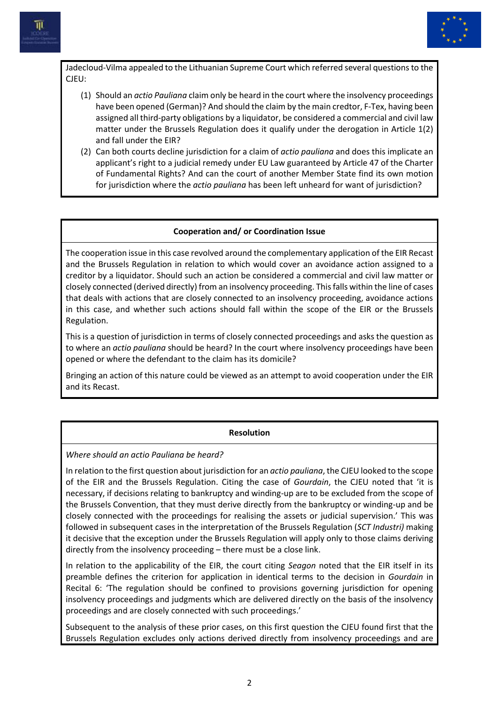



Jadecloud-Vilma appealed to the Lithuanian Supreme Court which referred several questions to the CJEU:

- (1) Should an *actio Pauliana* claim only be heard in the court where the insolvency proceedings have been opened (German)? And should the claim by the main credtor, F-Tex, having been assigned all third-party obligations by a liquidator, be considered a commercial and civil law matter under the Brussels Regulation does it qualify under the derogation in Article 1(2) and fall under the EIR?
- (2) Can both courts decline jurisdiction for a claim of *actio pauliana* and does this implicate an applicant's right to a judicial remedy under EU Law guaranteed by Article 47 of the Charter of Fundamental Rights? And can the court of another Member State find its own motion for jurisdiction where the *actio pauliana* has been left unheard for want of jurisdiction?

#### **Cooperation and/ or Coordination Issue**

The cooperation issue in this case revolved around the complementary application of the EIR Recast and the Brussels Regulation in relation to which would cover an avoidance action assigned to a creditor by a liquidator. Should such an action be considered a commercial and civil law matter or closely connected (derived directly) from an insolvency proceeding. This falls within the line of cases that deals with actions that are closely connected to an insolvency proceeding, avoidance actions in this case, and whether such actions should fall within the scope of the EIR or the Brussels Regulation.

This is a question of jurisdiction in terms of closely connected proceedings and asks the question as to where an *actio pauliana* should be heard? In the court where insolvency proceedings have been opened or where the defendant to the claim has its domicile?

Bringing an action of this nature could be viewed as an attempt to avoid cooperation under the EIR and its Recast.

#### **Resolution**

*Where should an actio Pauliana be heard?*

In relation to the first question about jurisdiction for an *actio pauliana*, the CJEU looked to the scope of the EIR and the Brussels Regulation. Citing the case of *Gourdain*, the CJEU noted that 'it is necessary, if decisions relating to bankruptcy and winding-up are to be excluded from the scope of the Brussels Convention, that they must derive directly from the bankruptcy or winding-up and be closely connected with the proceedings for realising the assets or judicial supervision.' This was followed in subsequent cases in the interpretation of the Brussels Regulation (*SCT Industri)* making it decisive that the exception under the Brussels Regulation will apply only to those claims deriving directly from the insolvency proceeding – there must be a close link.

In relation to the applicability of the EIR, the court citing *Seagon* noted that the EIR itself in its preamble defines the criterion for application in identical terms to the decision in *Gourdain* in Recital 6: 'The regulation should be confined to provisions governing jurisdiction for opening insolvency proceedings and judgments which are delivered directly on the basis of the insolvency proceedings and are closely connected with such proceedings.'

Subsequent to the analysis of these prior cases, on this first question the CJEU found first that the Brussels Regulation excludes only actions derived directly from insolvency proceedings and are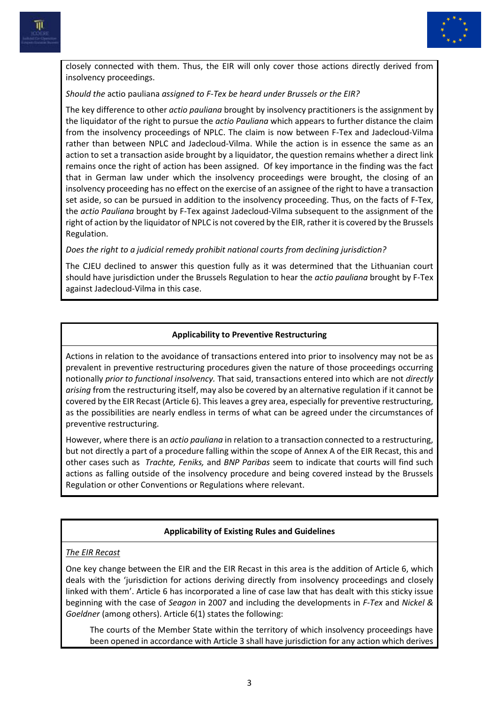



closely connected with them. Thus, the EIR will only cover those actions directly derived from insolvency proceedings.

## *Should the* actio pauliana *assigned to F-Tex be heard under Brussels or the EIR?*

The key difference to other *actio pauliana* brought by insolvency practitioners is the assignment by the liquidator of the right to pursue the *actio Pauliana* which appears to further distance the claim from the insolvency proceedings of NPLC. The claim is now between F-Tex and Jadecloud-Vilma rather than between NPLC and Jadecloud-Vilma. While the action is in essence the same as an action to set a transaction aside brought by a liquidator, the question remains whether a direct link remains once the right of action has been assigned. Of key importance in the finding was the fact that in German law under which the insolvency proceedings were brought, the closing of an insolvency proceeding has no effect on the exercise of an assignee of the right to have a transaction set aside, so can be pursued in addition to the insolvency proceeding. Thus, on the facts of F-Tex, the *actio Pauliana* brought by F-Tex against Jadecloud-Vilma subsequent to the assignment of the right of action by the liquidator of NPLC is not covered by the EIR, rather it is covered by the Brussels Regulation.

*Does the right to a judicial remedy prohibit national courts from declining jurisdiction?*

The CJEU declined to answer this question fully as it was determined that the Lithuanian court should have jurisdiction under the Brussels Regulation to hear the *actio pauliana* brought by F-Tex against Jadecloud-Vilma in this case.

## **Applicability to Preventive Restructuring**

Actions in relation to the avoidance of transactions entered into prior to insolvency may not be as prevalent in preventive restructuring procedures given the nature of those proceedings occurring notionally *prior to functional insolvency.* That said, transactions entered into which are not *directly arising* from the restructuring itself, may also be covered by an alternative regulation if it cannot be covered by the EIR Recast (Article 6). This leaves a grey area, especially for preventive restructuring, as the possibilities are nearly endless in terms of what can be agreed under the circumstances of preventive restructuring.

However, where there is an *actio pauliana* in relation to a transaction connected to a restructuring, but not directly a part of a procedure falling within the scope of Annex A of the EIR Recast, this and other cases such as *Trachte, Feniks,* and *BNP Paribas* seem to indicate that courts will find such actions as falling outside of the insolvency procedure and being covered instead by the Brussels Regulation or other Conventions or Regulations where relevant.

# **Applicability of Existing Rules and Guidelines**

# *The EIR Recast*

One key change between the EIR and the EIR Recast in this area is the addition of Article 6, which deals with the 'jurisdiction for actions deriving directly from insolvency proceedings and closely linked with them'. Article 6 has incorporated a line of case law that has dealt with this sticky issue beginning with the case of *Seagon* in 2007 and including the developments in *F-Tex* and *Nickel & Goeldner* (among others). Article 6(1) states the following:

The courts of the Member State within the territory of which insolvency proceedings have been opened in accordance with Article 3 shall have jurisdiction for any action which derives